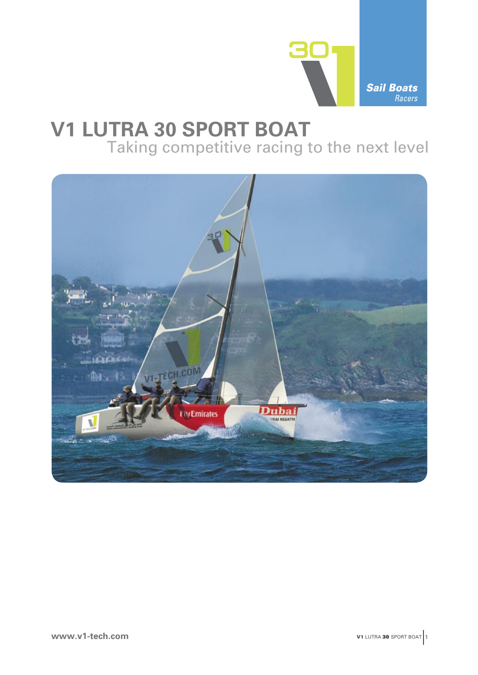

## **V1 LUTRA 30 SPORT BOAT** Taking competitive racing to the next level

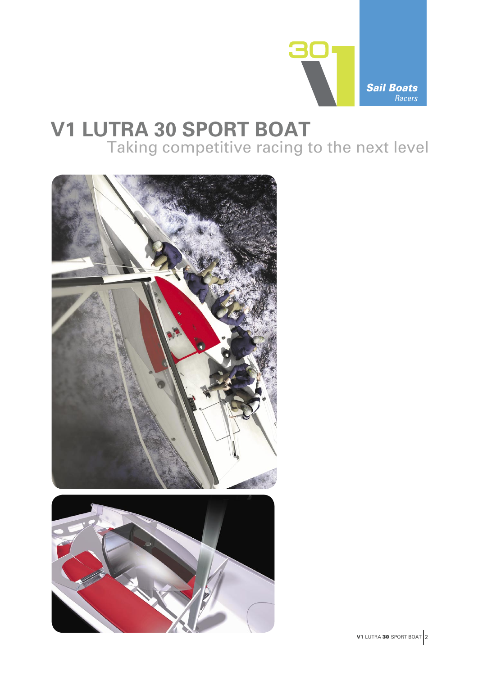

# **V1 LUTRA 30 SPORT BOAT** Taking competitive racing to the next level

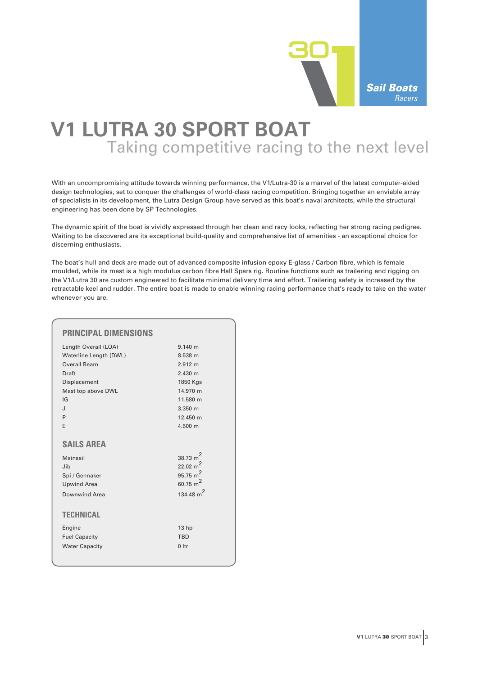

## Sail Boats Racers

## **V1 LUTRA 30 SPORT BOAT** Taking competitive racing to the next level

With an uncompromising attitude towards winning performance, the V1/Lutra-30 is a marvel of the latest computer-aided design technologies, set to conquer the challenges of world-class racing competition. Bringing together an enviable array of specialists in its development, the Lutra Design Group have served as this boat's naval architects, while the structural engineering has been done by SP Technologies.

The dynamic spirit of the boat is vividly expressed through her clean and racy looks, reflecting her strong racing pedigree. Waiting to be discovered are its exceptional build-quality and comprehensive list of amenities - an exceptional choice for discerning enthusiasts.

The boat's hull and deck are made out of advanced composite infusion epoxy E-glass / Carbon fibre, which is female moulded, while its mast is a high modulus carbon fibre Hall Spars rig. Routine functions such as trailering and rigging on the V1/Lutra 30 are custom engineered to facilitate minimal delivery time and effort. Trailering safety is increased by the retractable keel and rudder. The entire boat is made to enable winning racing performance that's ready to take on the water whenever you are.

| <b>PRINCIPAL DIMENSIONS</b> |                       |
|-----------------------------|-----------------------|
| Length Overall (LOA)        | 9.140 m               |
| Waterline Length (DWL)      | 8.538 m               |
| Overall Beam                | 2.912 m               |
| Draft                       | 2.430 m               |
| Displacement                | 1850 Kgs              |
| Mast top above DWL          | 14.970 m              |
| IG                          | 11.580 m              |
| J                           | $3.350 \; m$          |
| P                           | 12.450 m              |
| F                           | 4.500 m               |
|                             |                       |
| <b>SAILS AREA</b>           |                       |
| Mainsail                    | 38.73 $m^2$           |
| Jib                         | 22.02 m <sup>2</sup>  |
| Spi / Gennaker              | 95.75 $m2$            |
| <b>Upwind Area</b>          | 60.75 $m2$            |
| Downwind Area               | 134.48 m <sup>2</sup> |
| <b>TECHNICAL</b>            |                       |
| Engine                      | 13 <sub>hp</sub>      |
| <b>Fuel Capacity</b>        | <b>TRD</b>            |
| <b>Water Capacity</b>       | $0$ Itr               |
|                             |                       |
|                             |                       |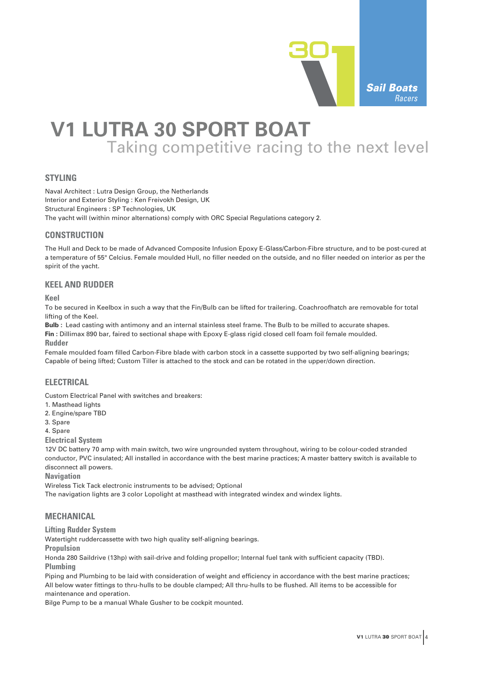

## **V1 LUTRA 30 SPORT BOAT** Taking competitive racing to the next level

## **STYLING**

Naval Architect : Lutra Design Group, the Netherlands Interior and Exterior Styling : Ken Freivokh Design, UK Structural Engineers : SP Technologies, UK The yacht will (within minor alternations) comply with ORC Special Regulations category 2.

### **CONSTRUCTION**

The Hull and Deck to be made of Advanced Composite Infusion Epoxy E-Glass/Carbon-Fibre structure, and to be post-cured at a temperature of 55° Celcius. Female moulded Hull, no filler needed on the outside, and no filler needed on interior as per the spirit of the yacht.

### **KEEL AND RUDDER**

**Keel**

To be secured in Keelbox in such a way that the Fin/Bulb can be lifted for trailering. Coachroofhatch are removable for total lifting of the Keel.

**Bulb :** Lead casting with antimony and an internal stainless steel frame. The Bulb to be milled to accurate shapes. **Fin :** Dillimax 890 bar, faired to sectional shape with Epoxy E-glass rigid closed cell foam foil female moulded.

**Rudder**

Female moulded foam filled Carbon-Fibre blade with carbon stock in a cassette supported by two self-aligning bearings; Capable of being lifted; Custom Tiller is attached to the stock and can be rotated in the upper/down direction.

### **ELECTRICAL**

Custom Electrical Panel with switches and breakers:

- 1. Masthead lights
- 2. Engine/spare TBD

3. Spare

4. Spare

**Electrical System**

12V DC battery 70 amp with main switch, two wire ungrounded system throughout, wiring to be colour-coded stranded conductor, PVC insulated; All installed in accordance with the best marine practices; A master battery switch is available to disconnect all powers.

**Navigation**

Wireless Tick Tack electronic instruments to be advised; Optional The navigation lights are 3 color Lopolight at masthead with integrated windex and windex lights.

## **MECHANICAL**

**Lifting Rudder System**

Watertight ruddercassette with two high quality self-aligning bearings.

**Propulsion**

Honda 280 Saildrive (13hp) with sail-drive and folding propellor; Internal fuel tank with sufficient capacity (TBD). **Plumbing**

Piping and Plumbing to be laid with consideration of weight and efficiency in accordance with the best marine practices; All below water fittings to thru-hulls to be double clamped; All thru-hulls to be flushed. All items to be accessible for maintenance and operation.

Bilge Pump to be a manual Whale Gusher to be cockpit mounted.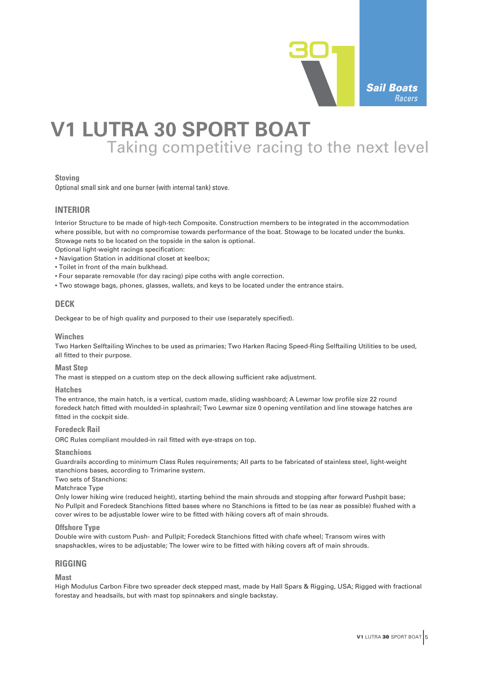

## **V1 LUTRA 30 SPORT BOAT** Taking competitive racing to the next level

#### **Stoving**

Optional small sink and one burner (with internal tank) stove.

## **INTERIOR**

Interior Structure to be made of high-tech Composite. Construction members to be integrated in the accommodation where possible, but with no compromise towards performance of the boat. Stowage to be located under the bunks. Stowage nets to be located on the topside in the salon is optional.

Optional light-weight racings specification:

- Navigation Station in additional closet at keelbox;
- Toilet in front of the main bulkhead.
- Four separate removable (for day racing) pipe coths with angle correction.
- Two stowage bags, phones, glasses, wallets, and keys to be located under the entrance stairs.

### **DECK**

Deckgear to be of high quality and purposed to their use (separately specified).

#### **Winches**

Two Harken Selftailing Winches to be used as primaries; Two Harken Racing Speed-Ring Selftailing Utilities to be used, all fitted to their purpose.

#### **Mast Step**

The mast is stepped on a custom step on the deck allowing sufficient rake adjustment.

#### **Hatches**

The entrance, the main hatch, is a vertical, custom made, sliding washboard; A Lewmar low profile size 22 round foredeck hatch fitted with moulded-in splashrail; Two Lewmar size 0 opening ventilation and line stowage hatches are fitted in the cockpit side.

#### **Foredeck Rail**

ORC Rules compliant moulded-in rail fitted with eye-straps on top.

#### **Stanchions**

Guardrails according to minimum Class Rules requirements; All parts to be fabricated of stainless steel, light-weight stanchions bases, according to Trimarine system.

Two sets of Stanchions:

#### Matchrace Type

Only lower hiking wire (reduced height), starting behind the main shrouds and stopping after forward Pushpit base; No Pullpit and Foredeck Stanchions fitted bases where no Stanchions is fitted to be (as near as possible) flushed with a cover wires to be adjustable lower wire to be fitted with hiking covers aft of main shrouds.

#### **Offshore Type**

Double wire with custom Push- and Pullpit; Foredeck Stanchions fitted with chafe wheel; Transom wires with snapshackles, wires to be adjustable; The lower wire to be fitted with hiking covers aft of main shrouds.

#### **RIGGING**

#### **Mast**

High Modulus Carbon Fibre two spreader deck stepped mast, made by Hall Spars & Rigging, USA; Rigged with fractional forestay and headsails, but with mast top spinnakers and single backstay.